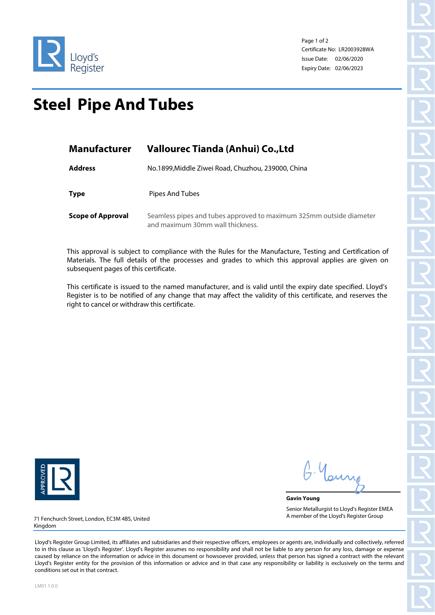

Page 1 of 2 Certificate No: LR2003928WA Issue Date: 02/06/2020 Expiry Date: 02/06/2023

## **Steel Pipe And Tubes**

| <b>Manufacturer</b>      | Vallourec Tianda (Anhui) Co., Ltd                                                                       |  |  |
|--------------------------|---------------------------------------------------------------------------------------------------------|--|--|
| <b>Address</b>           | No.1899, Middle Ziwei Road, Chuzhou, 239000, China                                                      |  |  |
| <b>Type</b>              | Pipes And Tubes                                                                                         |  |  |
| <b>Scope of Approval</b> | Seamless pipes and tubes approved to maximum 325mm outside diameter<br>and maximum 30mm wall thickness. |  |  |

This approval is subject to compliance with the Rules for the Manufacture, Testing and Certification of Materials. The full details of the processes and grades to which this approval applies are given on subsequent pages of this certificate.

This certificate is issued to the named manufacturer, and is valid until the expiry date specified. Lloyd's Register is to be notified of any change that may affect the validity of this certificate, and reserves the right to cancel or withdraw this certificate.



**Gavin Young** Senior Metallurgist to Lloyd's Register EMEA A member of the Lloyd's Register Group

71 Fenchurch Street, London, EC3M 4BS, United Kingdom

Lloyd's Register Group Limited, its affiliates and subsidiaries and their respective officers, employees or agents are, individually and collectively, referred to in this clause as 'Lloyd's Register'. Lloyd's Register assumes no responsibility and shall not be liable to any person for any loss, damage or expense caused by reliance on the information or advice in this document or howsoever provided, unless that person has signed a contract with the relevant Lloyd's Register entity for the provision of this information or advice and in that case any responsibility or liability is exclusively on the terms and conditions set out in that contract.